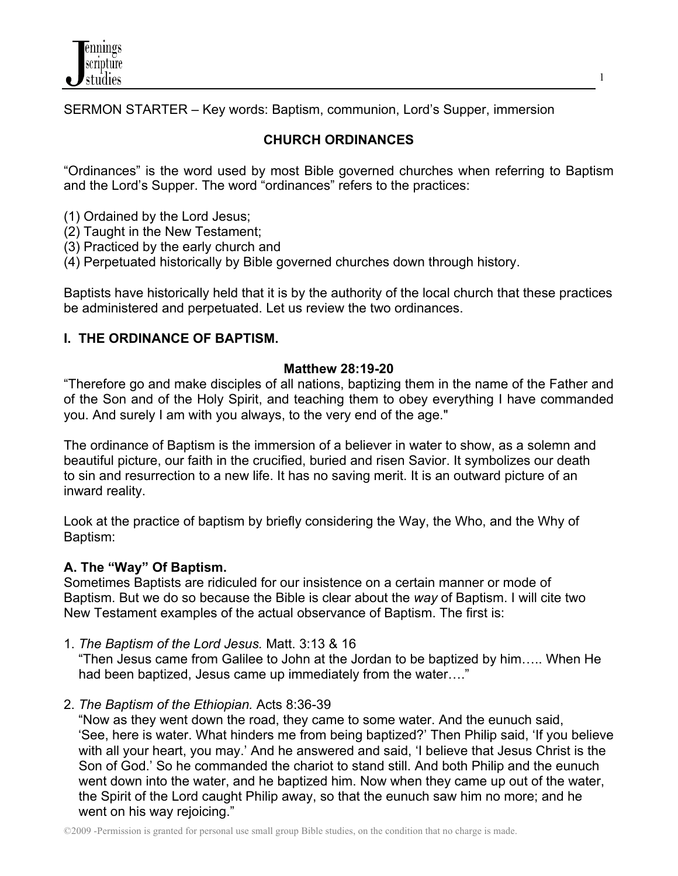

SERMON STARTER – Key words: Baptism, communion, Lord's Supper, immersion

# **CHURCH ORDINANCES**

"Ordinances" is the word used by most Bible governed churches when referring to Baptism and the Lord's Supper. The word "ordinances" refers to the practices:

- (1) Ordained by the Lord Jesus;
- (2) Taught in the New Testament;
- (3) Practiced by the early church and
- (4) Perpetuated historically by Bible governed churches down through history.

Baptists have historically held that it is by the authority of the local church that these practices be administered and perpetuated. Let us review the two ordinances.

#### **I. THE ORDINANCE OF BAPTISM.**

#### **Matthew 28:19-20**

"Therefore go and make disciples of all nations, baptizing them in the name of the Father and of the Son and of the Holy Spirit, and teaching them to obey everything I have commanded you. And surely I am with you always, to the very end of the age."

The ordinance of Baptism is the immersion of a believer in water to show, as a solemn and beautiful picture, our faith in the crucified, buried and risen Savior. It symbolizes our death to sin and resurrection to a new life. It has no saving merit. It is an outward picture of an inward reality.

Look at the practice of baptism by briefly considering the Way, the Who, and the Why of Baptism:

#### **A. The "Way" Of Baptism.**

Sometimes Baptists are ridiculed for our insistence on a certain manner or mode of Baptism. But we do so because the Bible is clear about the *way* of Baptism. I will cite two New Testament examples of the actual observance of Baptism. The first is:

1. *The Baptism of the Lord Jesus.* Matt. 3:13 & 16

 "Then Jesus came from Galilee to John at the Jordan to be baptized by him….. When He had been baptized, Jesus came up immediately from the water...."

2. *The Baptism of the Ethiopian.* Acts 8:36-39

 "Now as they went down the road, they came to some water. And the eunuch said, 'See, here is water. What hinders me from being baptized?' Then Philip said, 'If you believe with all your heart, you may.' And he answered and said, 'I believe that Jesus Christ is the Son of God.' So he commanded the chariot to stand still. And both Philip and the eunuch went down into the water, and he baptized him. Now when they came up out of the water, the Spirit of the Lord caught Philip away, so that the eunuch saw him no more; and he went on his way rejoicing."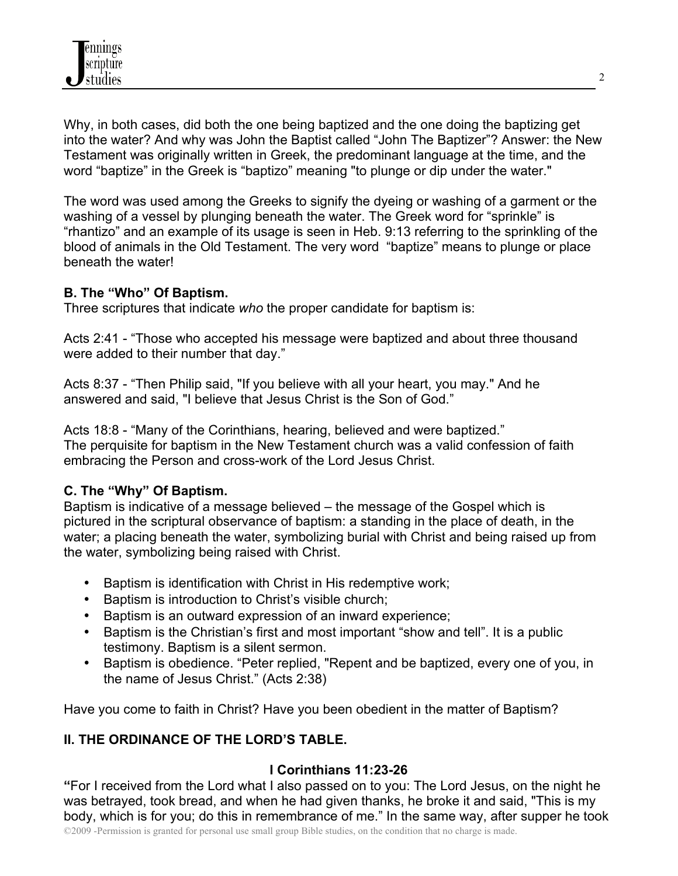Why, in both cases, did both the one being baptized and the one doing the baptizing get into the water? And why was John the Baptist called "John The Baptizer"? Answer: the New Testament was originally written in Greek, the predominant language at the time, and the word "baptize" in the Greek is "baptizo" meaning "to plunge or dip under the water."

The word was used among the Greeks to signify the dyeing or washing of a garment or the washing of a vessel by plunging beneath the water. The Greek word for "sprinkle" is "rhantizo" and an example of its usage is seen in Heb. 9:13 referring to the sprinkling of the blood of animals in the Old Testament. The very word "baptize" means to plunge or place beneath the water!

### **B. The "Who" Of Baptism.**

Three scriptures that indicate *who* the proper candidate for baptism is:

Acts 2:41 - "Those who accepted his message were baptized and about three thousand were added to their number that day."

Acts 8:37 - "Then Philip said, "If you believe with all your heart, you may." And he answered and said, "I believe that Jesus Christ is the Son of God."

Acts 18:8 - "Many of the Corinthians, hearing, believed and were baptized." The perquisite for baptism in the New Testament church was a valid confession of faith embracing the Person and cross-work of the Lord Jesus Christ.

## **C. The "Why" Of Baptism.**

Baptism is indicative of a message believed – the message of the Gospel which is pictured in the scriptural observance of baptism: a standing in the place of death, in the water; a placing beneath the water, symbolizing burial with Christ and being raised up from the water, symbolizing being raised with Christ.

- Baptism is identification with Christ in His redemptive work;
- Baptism is introduction to Christ's visible church;
- Baptism is an outward expression of an inward experience;
- Baptism is the Christian's first and most important "show and tell". It is a public testimony. Baptism is a silent sermon.
- Baptism is obedience. "Peter replied, "Repent and be baptized, every one of you, in the name of Jesus Christ." (Acts 2:38)

Have you come to faith in Christ? Have you been obedient in the matter of Baptism?

## **II. THE ORDINANCE OF THE LORD'S TABLE.**

## **I Corinthians 11:23-26**

**"**For I received from the Lord what I also passed on to you: The Lord Jesus, on the night he was betrayed, took bread, and when he had given thanks, he broke it and said, "This is my body, which is for you; do this in remembrance of me." In the same way, after supper he took